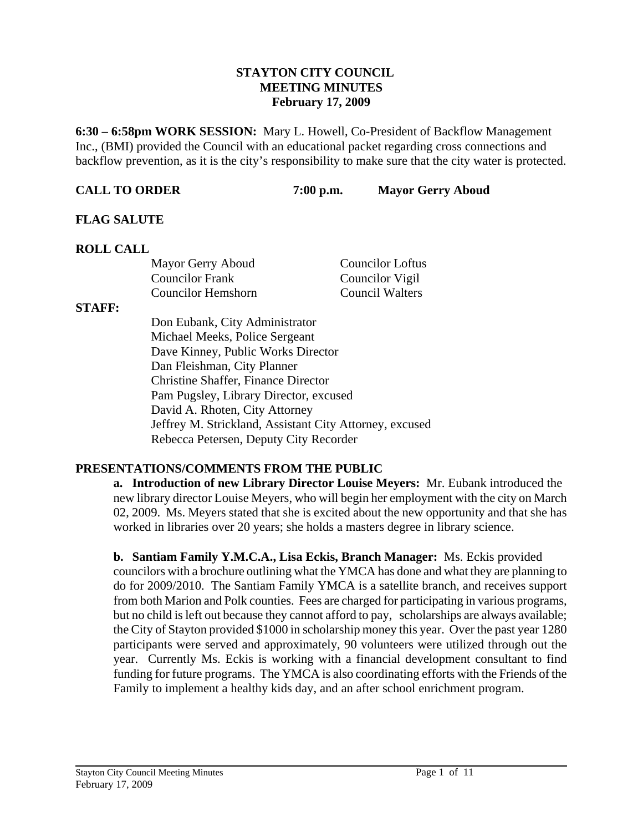#### **STAYTON CITY COUNCIL MEETING MINUTES February 17, 2009**

**6:30 – 6:58pm WORK SESSION:** Mary L. Howell, Co-President of Backflow Management Inc., (BMI) provided the Council with an educational packet regarding cross connections and backflow prevention, as it is the city's responsibility to make sure that the city water is protected.

**CALL TO ORDER 7:00 p.m. Mayor Gerry Aboud** 

## **FLAG SALUTE**

## **ROLL CALL**

| Mayor Gerry Aboud      | <b>Councilor Loftus</b> |
|------------------------|-------------------------|
| <b>Councilor Frank</b> | Councilor Vigil         |
| Councilor Hemshorn     | <b>Council Walters</b>  |

#### **STAFF:**

Don Eubank, City Administrator Michael Meeks, Police Sergeant Dave Kinney, Public Works Director Dan Fleishman, City Planner Christine Shaffer, Finance Director Pam Pugsley, Library Director, excused David A. Rhoten, City Attorney Jeffrey M. Strickland, Assistant City Attorney, excused Rebecca Petersen, Deputy City Recorder

## **PRESENTATIONS/COMMENTS FROM THE PUBLIC**

**a. Introduction of new Library Director Louise Meyers:** Mr. Eubank introduced the new library director Louise Meyers, who will begin her employment with the city on March 02, 2009. Ms. Meyers stated that she is excited about the new opportunity and that she has worked in libraries over 20 years; she holds a masters degree in library science.

**b. Santiam Family Y.M.C.A., Lisa Eckis, Branch Manager:** Ms. Eckis provided councilors with a brochure outlining what the YMCA has done and what they are planning to do for 2009/2010. The Santiam Family YMCA is a satellite branch, and receives support from both Marion and Polk counties. Fees are charged for participating in various programs, but no child is left out because they cannot afford to pay, scholarships are always available; the City of Stayton provided \$1000 in scholarship money this year. Over the past year 1280 participants were served and approximately, 90 volunteers were utilized through out the year. Currently Ms. Eckis is working with a financial development consultant to find funding for future programs. The YMCA is also coordinating efforts with the Friends of the Family to implement a healthy kids day, and an after school enrichment program.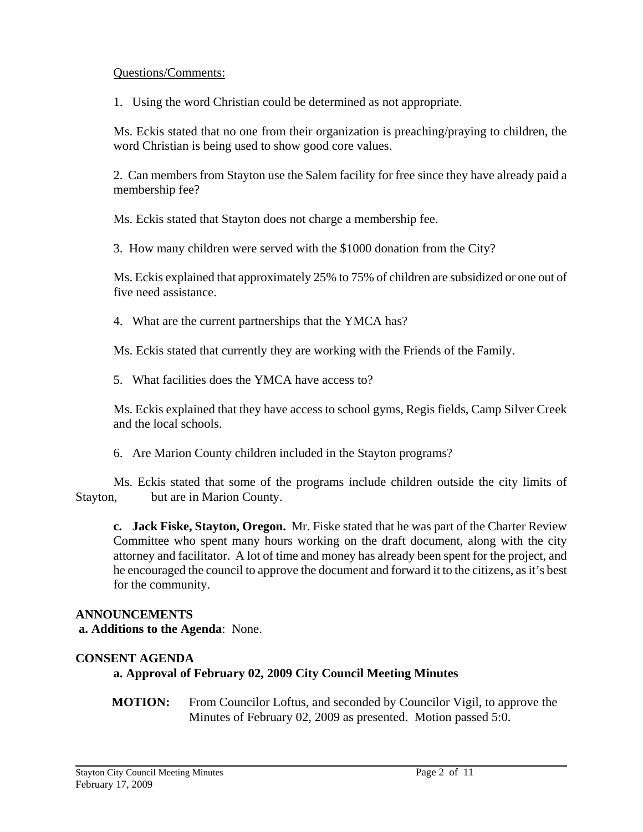#### Questions/Comments:

1. Using the word Christian could be determined as not appropriate.

 Ms. Eckis stated that no one from their organization is preaching/praying to children, the word Christian is being used to show good core values.

2. Can members from Stayton use the Salem facility for free since they have already paid a membership fee?

Ms. Eckis stated that Stayton does not charge a membership fee.

3. How many children were served with the \$1000 donation from the City?

Ms. Eckis explained that approximately 25% to 75% of children are subsidized or one out of five need assistance.

4. What are the current partnerships that the YMCA has?

Ms. Eckis stated that currently they are working with the Friends of the Family.

5. What facilities does the YMCA have access to?

 Ms. Eckis explained that they have access to school gyms, Regis fields, Camp Silver Creek and the local schools.

6. Are Marion County children included in the Stayton programs?

 Ms. Eckis stated that some of the programs include children outside the city limits of Stayton, but are in Marion County.

**c. Jack Fiske, Stayton, Oregon.** Mr. Fiske stated that he was part of the Charter Review Committee who spent many hours working on the draft document, along with the city attorney and facilitator. A lot of time and money has already been spent for the project, and he encouraged the council to approve the document and forward it to the citizens, as it's best for the community.

# **ANNOUNCEMENTS**

 **a. Additions to the Agenda**: None.

# **CONSENT AGENDA**

## **a. Approval of February 02, 2009 City Council Meeting Minutes**

**MOTION:** From Councilor Loftus, and seconded by Councilor Vigil, to approve the Minutes of February 02, 2009 as presented. Motion passed 5:0.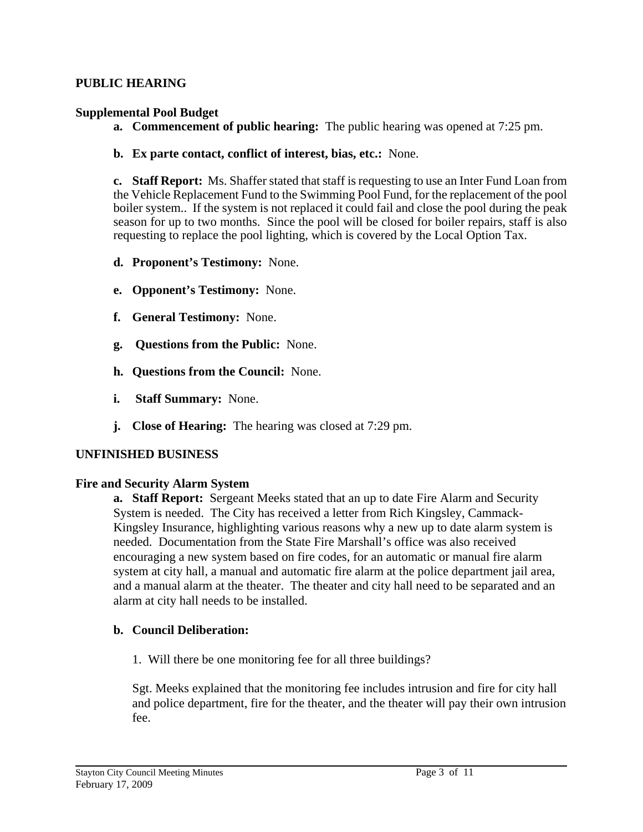#### **PUBLIC HEARING**

#### **Supplemental Pool Budget**

- **a. Commencement of public hearing:** The public hearing was opened at 7:25 pm.
- **b. Ex parte contact, conflict of interest, bias, etc.:** None.

**c. Staff Report:** Ms. Shaffer stated that staff is requesting to use an Inter Fund Loan from the Vehicle Replacement Fund to the Swimming Pool Fund, for the replacement of the pool boiler system.. If the system is not replaced it could fail and close the pool during the peak season for up to two months. Since the pool will be closed for boiler repairs, staff is also requesting to replace the pool lighting, which is covered by the Local Option Tax.

- **d. Proponent's Testimony:** None.
- **e. Opponent's Testimony:** None.
- **f. General Testimony:** None.
- **g. Questions from the Public:** None.
- **h. Questions from the Council:** None.
- **i. Staff Summary:** None.
- **j. Close of Hearing:** The hearing was closed at 7:29 pm.

#### **UNFINISHED BUSINESS**

#### **Fire and Security Alarm System**

**a. Staff Report:** Sergeant Meeks stated that an up to date Fire Alarm and Security System is needed. The City has received a letter from Rich Kingsley, Cammack-Kingsley Insurance, highlighting various reasons why a new up to date alarm system is needed. Documentation from the State Fire Marshall's office was also received encouraging a new system based on fire codes, for an automatic or manual fire alarm system at city hall, a manual and automatic fire alarm at the police department jail area, and a manual alarm at the theater. The theater and city hall need to be separated and an alarm at city hall needs to be installed.

## **b. Council Deliberation:**

1. Will there be one monitoring fee for all three buildings?

Sgt. Meeks explained that the monitoring fee includes intrusion and fire for city hall and police department, fire for the theater, and the theater will pay their own intrusion fee.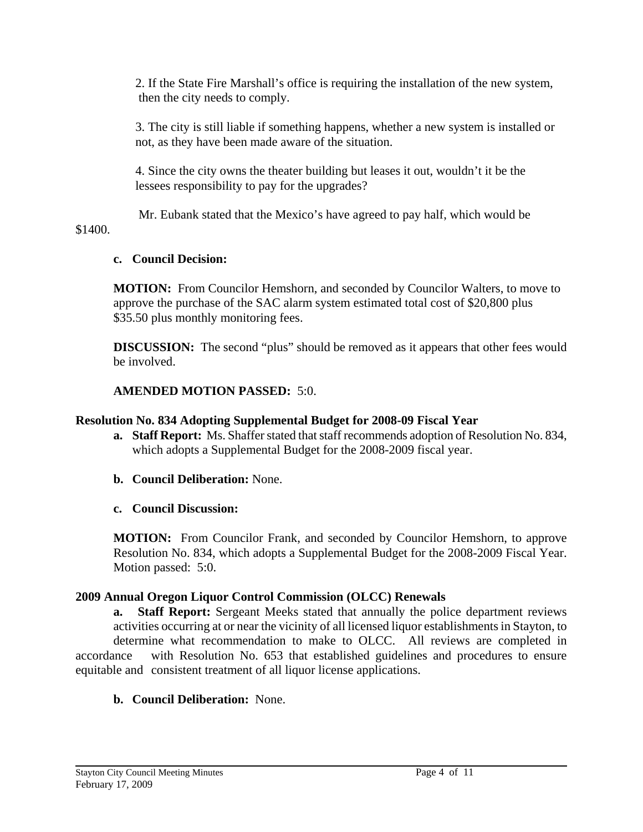2. If the State Fire Marshall's office is requiring the installation of the new system, then the city needs to comply.

3. The city is still liable if something happens, whether a new system is installed or not, as they have been made aware of the situation.

4. Since the city owns the theater building but leases it out, wouldn't it be the lessees responsibility to pay for the upgrades?

 Mr. Eubank stated that the Mexico's have agreed to pay half, which would be \$1400.

## **c. Council Decision:**

 **MOTION:** From Councilor Hemshorn, and seconded by Councilor Walters, to move to approve the purchase of the SAC alarm system estimated total cost of \$20,800 plus \$35.50 plus monthly monitoring fees.

**DISCUSSION:** The second "plus" should be removed as it appears that other fees would be involved.

## **AMENDED MOTION PASSED:** 5:0.

#### **Resolution No. 834 Adopting Supplemental Budget for 2008-09 Fiscal Year**

- **a. Staff Report:** Ms. Shaffer stated that staff recommends adoption of Resolution No. 834, which adopts a Supplemental Budget for the 2008-2009 fiscal year.
- **b. Council Deliberation:** None.
- **c. Council Discussion:**

**MOTION:** From Councilor Frank, and seconded by Councilor Hemshorn, to approve Resolution No. 834, which adopts a Supplemental Budget for the 2008-2009 Fiscal Year. Motion passed: 5:0.

#### **2009 Annual Oregon Liquor Control Commission (OLCC) Renewals**

 **a. Staff Report:** Sergeant Meeks stated that annually the police department reviews activities occurring at or near the vicinity of all licensed liquor establishments in Stayton, to determine what recommendation to make to OLCC. All reviews are completed in accordance with Resolution No. 653 that established guidelines and procedures to ensure equitable and consistent treatment of all liquor license applications.

## **b. Council Deliberation:** None.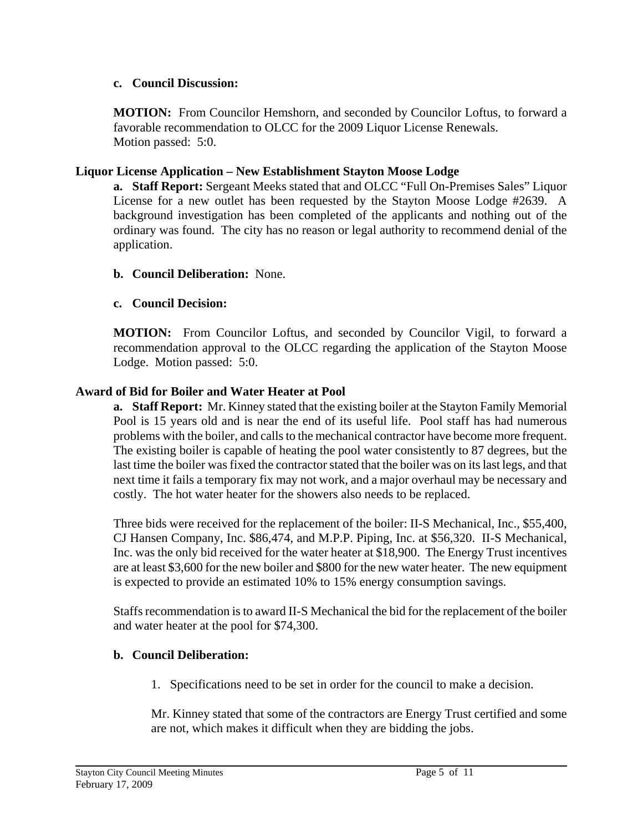## **c. Council Discussion:**

**MOTION:** From Councilor Hemshorn, and seconded by Councilor Loftus, to forward a favorable recommendation to OLCC for the 2009 Liquor License Renewals. Motion passed: 5:0.

## **Liquor License Application – New Establishment Stayton Moose Lodge**

**a. Staff Report:** Sergeant Meeks stated that and OLCC "Full On-Premises Sales" Liquor License for a new outlet has been requested by the Stayton Moose Lodge #2639. A background investigation has been completed of the applicants and nothing out of the ordinary was found. The city has no reason or legal authority to recommend denial of the application.

## **b. Council Deliberation:** None.

## **c. Council Decision:**

**MOTION:** From Councilor Loftus, and seconded by Councilor Vigil, to forward a recommendation approval to the OLCC regarding the application of the Stayton Moose Lodge. Motion passed: 5:0.

## **Award of Bid for Boiler and Water Heater at Pool**

**a. Staff Report:** Mr. Kinney stated that the existing boiler at the Stayton Family Memorial Pool is 15 years old and is near the end of its useful life. Pool staff has had numerous problems with the boiler, and calls to the mechanical contractor have become more frequent. The existing boiler is capable of heating the pool water consistently to 87 degrees, but the last time the boiler was fixed the contractor stated that the boiler was on its last legs, and that next time it fails a temporary fix may not work, and a major overhaul may be necessary and costly. The hot water heater for the showers also needs to be replaced.

Three bids were received for the replacement of the boiler: II-S Mechanical, Inc., \$55,400, CJ Hansen Company, Inc. \$86,474, and M.P.P. Piping, Inc. at \$56,320. II-S Mechanical, Inc. was the only bid received for the water heater at \$18,900. The Energy Trust incentives are at least \$3,600 for the new boiler and \$800 for the new water heater. The new equipment is expected to provide an estimated 10% to 15% energy consumption savings.

Staffs recommendation is to award II-S Mechanical the bid for the replacement of the boiler and water heater at the pool for \$74,300.

## **b. Council Deliberation:**

1. Specifications need to be set in order for the council to make a decision.

 Mr. Kinney stated that some of the contractors are Energy Trust certified and some are not, which makes it difficult when they are bidding the jobs.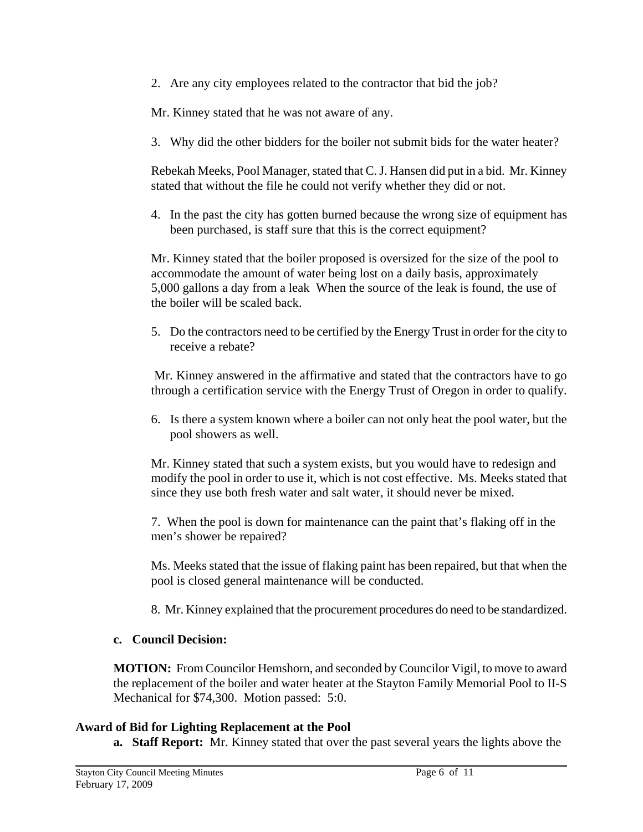2. Are any city employees related to the contractor that bid the job?

Mr. Kinney stated that he was not aware of any.

3. Why did the other bidders for the boiler not submit bids for the water heater?

 Rebekah Meeks, Pool Manager, stated that C. J. Hansen did put in a bid. Mr. Kinney stated that without the file he could not verify whether they did or not.

4. In the past the city has gotten burned because the wrong size of equipment has been purchased, is staff sure that this is the correct equipment?

 Mr. Kinney stated that the boiler proposed is oversized for the size of the pool to accommodate the amount of water being lost on a daily basis, approximately 5,000 gallons a day from a leak When the source of the leak is found, the use of the boiler will be scaled back.

5. Do the contractors need to be certified by the Energy Trust in order for the city to receive a rebate?

 Mr. Kinney answered in the affirmative and stated that the contractors have to go through a certification service with the Energy Trust of Oregon in order to qualify.

6. Is there a system known where a boiler can not only heat the pool water, but the pool showers as well.

 Mr. Kinney stated that such a system exists, but you would have to redesign and modify the pool in order to use it, which is not cost effective. Ms. Meeks stated that since they use both fresh water and salt water, it should never be mixed.

 7. When the pool is down for maintenance can the paint that's flaking off in the men's shower be repaired?

Ms. Meeks stated that the issue of flaking paint has been repaired, but that when the pool is closed general maintenance will be conducted.

8. Mr. Kinney explained that the procurement procedures do need to be standardized.

## **c. Council Decision:**

**MOTION:** From Councilor Hemshorn, and seconded by Councilor Vigil, to move to award the replacement of the boiler and water heater at the Stayton Family Memorial Pool to II-S Mechanical for \$74,300. Motion passed: 5:0.

## **Award of Bid for Lighting Replacement at the Pool**

**a. Staff Report:** Mr. Kinney stated that over the past several years the lights above the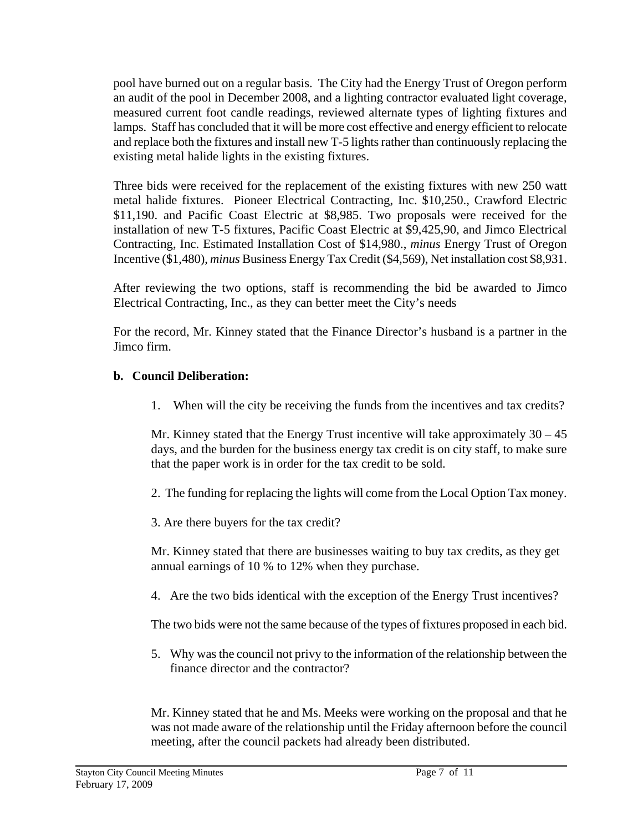pool have burned out on a regular basis. The City had the Energy Trust of Oregon perform an audit of the pool in December 2008, and a lighting contractor evaluated light coverage, measured current foot candle readings, reviewed alternate types of lighting fixtures and lamps. Staff has concluded that it will be more cost effective and energy efficient to relocate and replace both the fixtures and install new T-5 lights rather than continuously replacing the existing metal halide lights in the existing fixtures.

Three bids were received for the replacement of the existing fixtures with new 250 watt metal halide fixtures. Pioneer Electrical Contracting, Inc. \$10,250., Crawford Electric \$11,190. and Pacific Coast Electric at \$8,985. Two proposals were received for the installation of new T-5 fixtures, Pacific Coast Electric at \$9,425,90, and Jimco Electrical Contracting, Inc. Estimated Installation Cost of \$14,980., *minus* Energy Trust of Oregon Incentive (\$1,480), *minus* Business Energy Tax Credit (\$4,569), Net installation cost \$8,931.

 After reviewing the two options, staff is recommending the bid be awarded to Jimco Electrical Contracting, Inc., as they can better meet the City's needs

 For the record, Mr. Kinney stated that the Finance Director's husband is a partner in the Jimco firm.

## **b. Council Deliberation:**

1. When will the city be receiving the funds from the incentives and tax credits?

Mr. Kinney stated that the Energy Trust incentive will take approximately  $30 - 45$  days, and the burden for the business energy tax credit is on city staff, to make sure that the paper work is in order for the tax credit to be sold.

- 2. The funding for replacing the lights will come from the Local Option Tax money.
- 3. Are there buyers for the tax credit?

 Mr. Kinney stated that there are businesses waiting to buy tax credits, as they get annual earnings of 10 % to 12% when they purchase.

4. Are the two bids identical with the exception of the Energy Trust incentives?

The two bids were not the same because of the types of fixtures proposed in each bid.

5. Why was the council not privy to the information of the relationship between the finance director and the contractor?

 Mr. Kinney stated that he and Ms. Meeks were working on the proposal and that he was not made aware of the relationship until the Friday afternoon before the council meeting, after the council packets had already been distributed.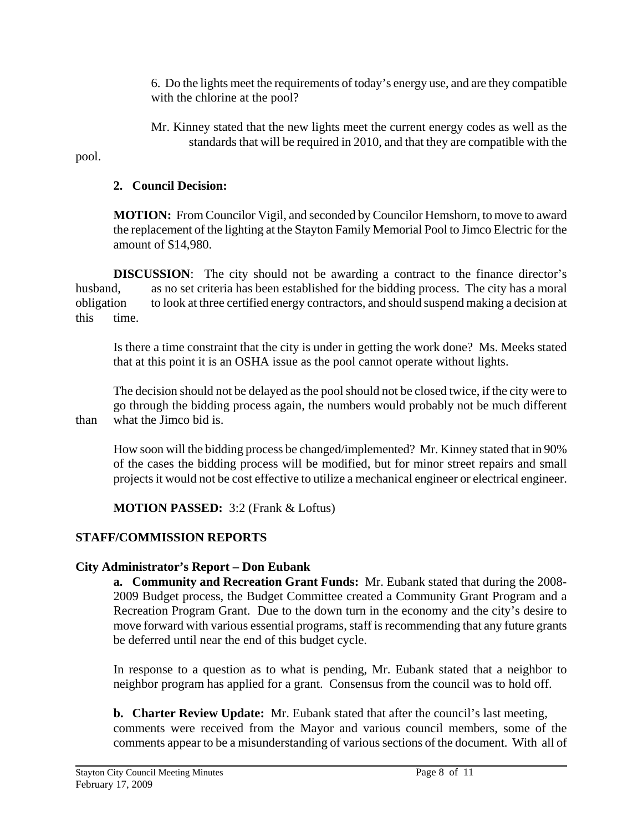6. Do the lights meet the requirements of today's energy use, and are they compatible with the chlorine at the pool?

 Mr. Kinney stated that the new lights meet the current energy codes as well as the standards that will be required in 2010, and that they are compatible with the

pool.

## **2. Council Decision:**

 **MOTION:** From Councilor Vigil, and seconded by Councilor Hemshorn, to move to award the replacement of the lighting at the Stayton Family Memorial Pool to Jimco Electric for the amount of \$14,980.

**DISCUSSION:** The city should not be awarding a contract to the finance director's husband, as no set criteria has been established for the bidding process. The city has a moral obligation to look at three certified energy contractors, and should suspend making a decision at this time.

 Is there a time constraint that the city is under in getting the work done? Ms. Meeks stated that at this point it is an OSHA issue as the pool cannot operate without lights.

 The decision should not be delayed as the pool should not be closed twice, if the city were to go through the bidding process again, the numbers would probably not be much different than what the Jimco bid is.

 How soon will the bidding process be changed/implemented? Mr. Kinney stated that in 90% of the cases the bidding process will be modified, but for minor street repairs and small projects it would not be cost effective to utilize a mechanical engineer or electrical engineer.

# **MOTION PASSED:** 3:2 (Frank & Loftus)

# **STAFF/COMMISSION REPORTS**

# **City Administrator's Report – Don Eubank**

**a. Community and Recreation Grant Funds:** Mr. Eubank stated that during the 2008- 2009 Budget process, the Budget Committee created a Community Grant Program and a Recreation Program Grant. Due to the down turn in the economy and the city's desire to move forward with various essential programs, staff is recommending that any future grants be deferred until near the end of this budget cycle.

In response to a question as to what is pending, Mr. Eubank stated that a neighbor to neighbor program has applied for a grant. Consensus from the council was to hold off.

**b. Charter Review Update:** Mr. Eubank stated that after the council's last meeting, comments were received from the Mayor and various council members, some of the comments appear to be a misunderstanding of various sections of the document. With all of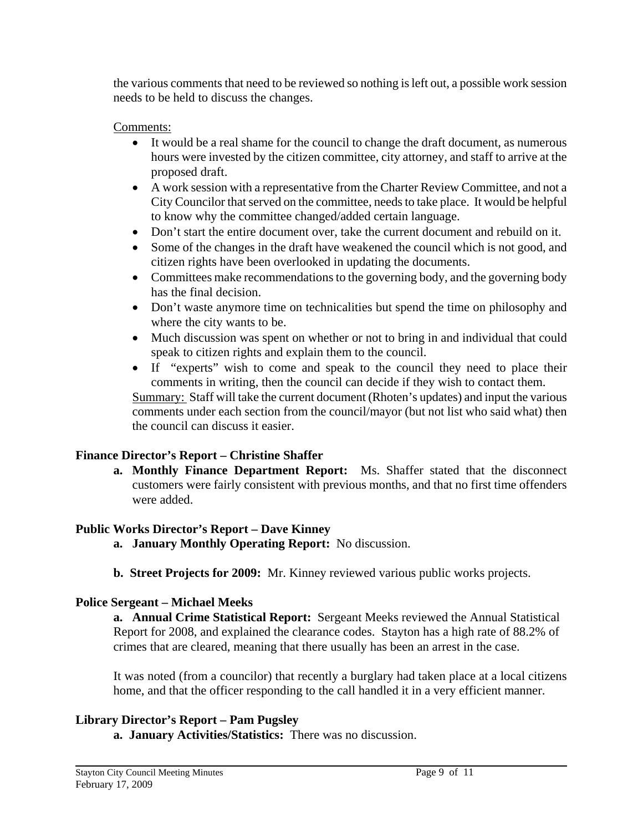the various comments that need to be reviewed so nothing is left out, a possible work session needs to be held to discuss the changes.

## Comments:

- It would be a real shame for the council to change the draft document, as numerous hours were invested by the citizen committee, city attorney, and staff to arrive at the proposed draft.
- A work session with a representative from the Charter Review Committee, and not a City Councilor that served on the committee, needs to take place. It would be helpful to know why the committee changed/added certain language.
- Don't start the entire document over, take the current document and rebuild on it.
- Some of the changes in the draft have weakened the council which is not good, and citizen rights have been overlooked in updating the documents.
- Committees make recommendations to the governing body, and the governing body has the final decision.
- Don't waste anymore time on technicalities but spend the time on philosophy and where the city wants to be.
- Much discussion was spent on whether or not to bring in and individual that could speak to citizen rights and explain them to the council.
- If "experts" wish to come and speak to the council they need to place their comments in writing, then the council can decide if they wish to contact them.

Summary: Staff will take the current document (Rhoten's updates) and input the various comments under each section from the council/mayor (but not list who said what) then the council can discuss it easier.

# **Finance Director's Report – Christine Shaffer**

**a. Monthly Finance Department Report:** Ms. Shaffer stated that the disconnect customers were fairly consistent with previous months, and that no first time offenders were added.

# **Public Works Director's Report – Dave Kinney**

- **a. January Monthly Operating Report:** No discussion.
- **b. Street Projects for 2009:** Mr. Kinney reviewed various public works projects.

# **Police Sergeant – Michael Meeks**

**a. Annual Crime Statistical Report:** Sergeant Meeks reviewed the Annual Statistical Report for 2008, and explained the clearance codes. Stayton has a high rate of 88.2% of crimes that are cleared, meaning that there usually has been an arrest in the case.

It was noted (from a councilor) that recently a burglary had taken place at a local citizens home, and that the officer responding to the call handled it in a very efficient manner.

# **Library Director's Report – Pam Pugsley**

 **a. January Activities/Statistics:** There was no discussion.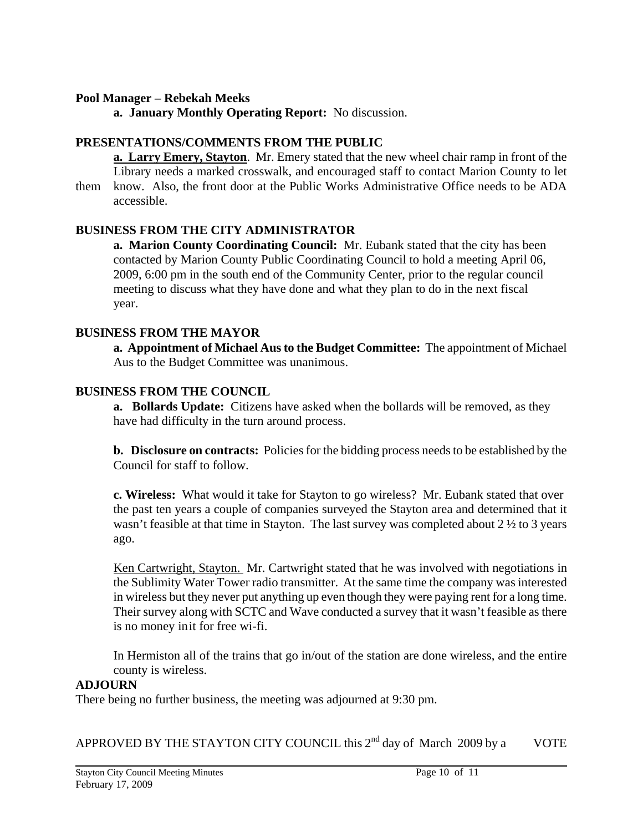#### **Pool Manager – Rebekah Meeks**

 **a. January Monthly Operating Report:** No discussion.

#### **PRESENTATIONS/COMMENTS FROM THE PUBLIC**

**a. Larry Emery, Stayton**. Mr. Emery stated that the new wheel chair ramp in front of the Library needs a marked crosswalk, and encouraged staff to contact Marion County to let them know. Also, the front door at the Public Works Administrative Office needs to be ADA accessible.

#### **BUSINESS FROM THE CITY ADMINISTRATOR**

**a. Marion County Coordinating Council:** Mr. Eubank stated that the city has been contacted by Marion County Public Coordinating Council to hold a meeting April 06, 2009, 6:00 pm in the south end of the Community Center, prior to the regular council meeting to discuss what they have done and what they plan to do in the next fiscal year.

#### **BUSINESS FROM THE MAYOR**

 **a. Appointment of Michael Aus to the Budget Committee:** The appointment of Michael Aus to the Budget Committee was unanimous.

#### **BUSINESS FROM THE COUNCIL**

**a. Bollards Update:** Citizens have asked when the bollards will be removed, as they have had difficulty in the turn around process.

**b. Disclosure on contracts:** Policies for the bidding process needs to be established by the Council for staff to follow.

**c. Wireless:** What would it take for Stayton to go wireless? Mr. Eubank stated that over the past ten years a couple of companies surveyed the Stayton area and determined that it wasn't feasible at that time in Stayton. The last survey was completed about 2 ½ to 3 years ago.

Ken Cartwright, Stayton. Mr. Cartwright stated that he was involved with negotiations in the Sublimity Water Tower radio transmitter. At the same time the company was interested in wireless but they never put anything up even though they were paying rent for a long time. Their survey along with SCTC and Wave conducted a survey that it wasn't feasible as there is no money in it for free wi-fi.

 In Hermiston all of the trains that go in/out of the station are done wireless, and the entire county is wireless.

#### **ADJOURN**

There being no further business, the meeting was adjourned at 9:30 pm.

APPROVED BY THE STAYTON CITY COUNCIL this  $2^{nd}$  day of March 2009 by a VOTE